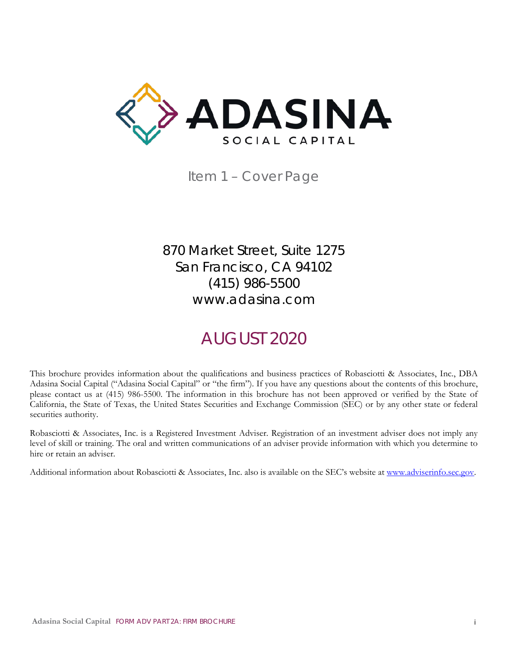<span id="page-0-0"></span>

Item 1 – Cover Page

870 Market Street, Suite 1275 San Francisco, CA 94102 (415) 986-5500 www.adasina.com

# AUGUST 2020

This brochure provides information about the qualifications and business practices of Robasciotti & Associates, Inc., DBA Adasina Social Capital ("Adasina Social Capital" or "the firm"). If you have any questions about the contents of this brochure, please contact us at (415) 986-5500. The information in this brochure has not been approved or verified by the State of California, the State of Texas, the United States Securities and Exchange Commission (SEC) or by any other state or federal securities authority.

Robasciotti & Associates, Inc. is a Registered Investment Adviser. Registration of an investment adviser does not imply any level of skill or training. The oral and written communications of an adviser provide information with which you determine to hire or retain an adviser.

Additional information about Robasciotti & Associates, Inc. also is available on the SEC's website at [www.adviserinfo.sec.gov.](http://www.adviserinfo.sec.gov/)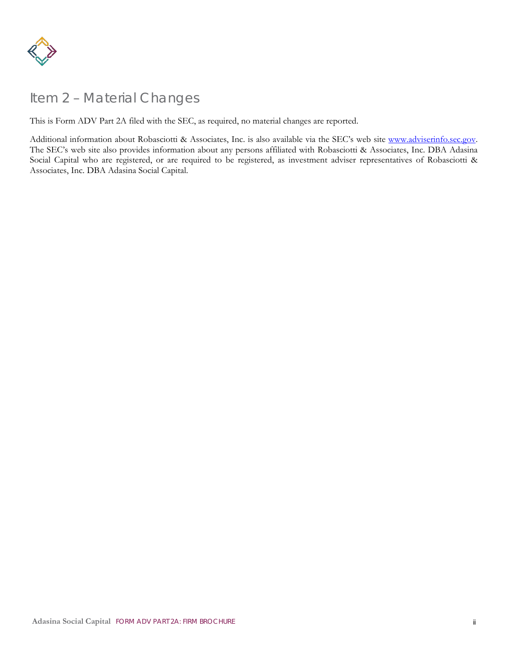

# <span id="page-1-0"></span>Item 2 – Material Changes

This is Form ADV Part 2A filed with the SEC, as required, no material changes are reported.

Additional information about Robasciotti & Associates, Inc. is also available via the SEC's web site www.adviserinfo.sec.gov. The SEC's web site also provides information about any persons affiliated with Robasciotti & Associates, Inc. DBA Adasina Social Capital who are registered, or are required to be registered, as investment adviser representatives of Robasciotti & Associates, Inc. DBA Adasina Social Capital.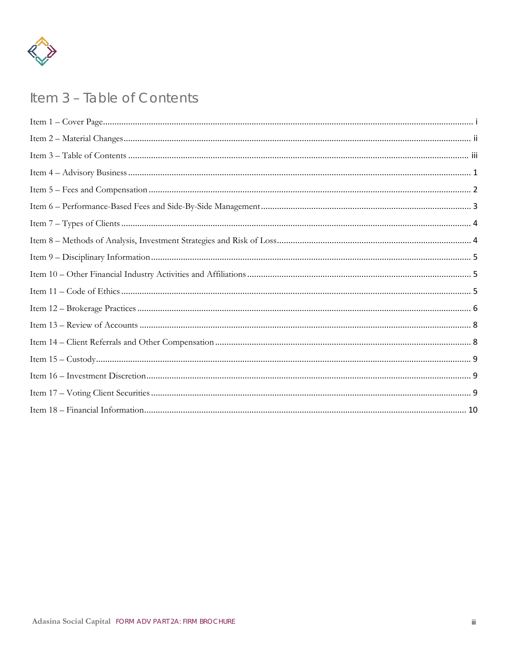

# <span id="page-2-0"></span>Item 3 - Table of Contents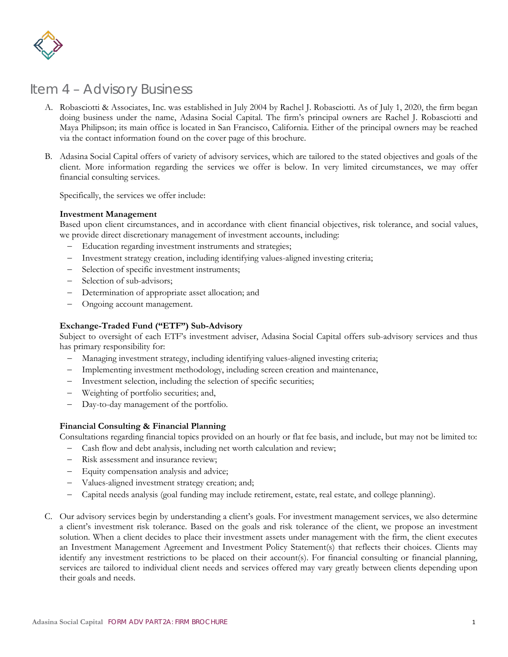

### <span id="page-3-0"></span>Item 4 – Advisory Business

- A. Robasciotti & Associates, Inc. was established in July 2004 by Rachel J. Robasciotti. As of July 1, 2020, the firm began doing business under the name, Adasina Social Capital. The firm's principal owners are Rachel J. Robasciotti and Maya Philipson; its main office is located in San Francisco, California. Either of the principal owners may be reached via the contact information found on the cover page of this brochure.
- B. Adasina Social Capital offers of variety of advisory services, which are tailored to the stated objectives and goals of the client. More information regarding the services we offer is below. In very limited circumstances, we may offer financial consulting services.

Specifically, the services we offer include:

#### **Investment Management**

Based upon client circumstances, and in accordance with client financial objectives, risk tolerance, and social values, we provide direct discretionary management of investment accounts, including:

- Education regarding investment instruments and strategies;
- Investment strategy creation, including identifying values-aligned investing criteria;
- Selection of specific investment instruments;
- Selection of sub-advisors:
- Determination of appropriate asset allocation; and
- Ongoing account management.

#### **Exchange-Traded Fund ("ETF") Sub-Advisory**

Subject to oversight of each ETF's investment adviser, Adasina Social Capital offers sub-advisory services and thus has primary responsibility for:

- − Managing investment strategy, including identifying values-aligned investing criteria;
- Implementing investment methodology, including screen creation and maintenance,
- Investment selection, including the selection of specific securities;
- Weighting of portfolio securities; and,
- Day-to-day management of the portfolio.

#### **Financial Consulting & Financial Planning**

Consultations regarding financial topics provided on an hourly or flat fee basis, and include, but may not be limited to:

- Cash flow and debt analysis, including net worth calculation and review;
- Risk assessment and insurance review;
- Equity compensation analysis and advice;
- Values-aligned investment strategy creation; and;
- − Capital needs analysis (goal funding may include retirement, estate, real estate, and college planning).
- C. Our advisory services begin by understanding a client's goals. For investment management services, we also determine a client's investment risk tolerance. Based on the goals and risk tolerance of the client, we propose an investment solution. When a client decides to place their investment assets under management with the firm, the client executes an Investment Management Agreement and Investment Policy Statement(s) that reflects their choices. Clients may identify any investment restrictions to be placed on their account(s). For financial consulting or financial planning, services are tailored to individual client needs and services offered may vary greatly between clients depending upon their goals and needs.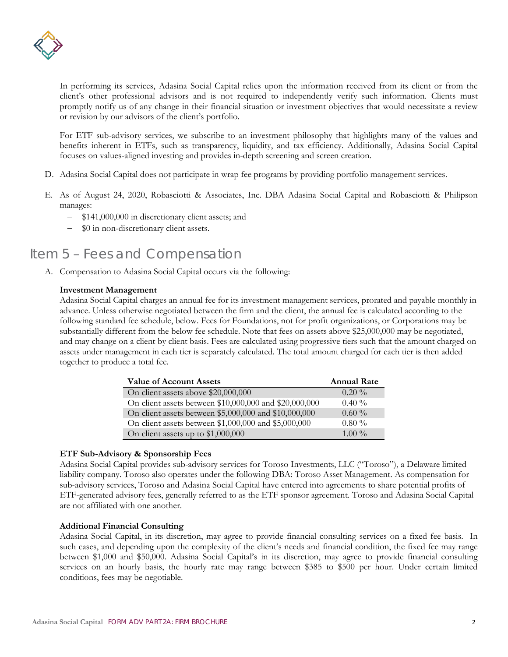

In performing its services, Adasina Social Capital relies upon the information received from its client or from the client's other professional advisors and is not required to independently verify such information. Clients must promptly notify us of any change in their financial situation or investment objectives that would necessitate a review or revision by our advisors of the client's portfolio.

For ETF sub-advisory services, we subscribe to an investment philosophy that highlights many of the values and benefits inherent in ETFs, such as transparency, liquidity, and tax efficiency. Additionally, Adasina Social Capital focuses on values-aligned investing and provides in-depth screening and screen creation.

- D. Adasina Social Capital does not participate in wrap fee programs by providing portfolio management services.
- E. As of August 24, 2020, Robasciotti & Associates, Inc. DBA Adasina Social Capital and Robasciotti & Philipson manages:
	- − \$141,000,000 in discretionary client assets; and
	- − \$0 in non-discretionary client assets.

# <span id="page-4-0"></span>Item 5 – Fees and Compensation

A. Compensation to Adasina Social Capital occurs via the following:

### **Investment Management**

Adasina Social Capital charges an annual fee for its investment management services, prorated and payable monthly in advance. Unless otherwise negotiated between the firm and the client, the annual fee is calculated according to the following standard fee schedule, below. Fees for Foundations, not for profit organizations, or Corporations may be substantially different from the below fee schedule. Note that fees on assets above \$25,000,000 may be negotiated, and may change on a client by client basis. Fees are calculated using progressive tiers such that the amount charged on assets under management in each tier is separately calculated. The total amount charged for each tier is then added together to produce a total fee.

| <b>Value of Account Assets</b>                         | <b>Annual Rate</b> |
|--------------------------------------------------------|--------------------|
| On client assets above \$20,000,000                    | $0.20\%$           |
| On client assets between \$10,000,000 and \$20,000,000 | $0.40\%$           |
| On client assets between \$5,000,000 and \$10,000,000  | $0.60\%$           |
| On client assets between \$1,000,000 and \$5,000,000   | $0.80\%$           |
| On client assets up to \$1,000,000                     | 1.00 $\%$          |

### **ETF Sub-Advisory & Sponsorship Fees**

Adasina Social Capital provides sub-advisory services for Toroso Investments, LLC ("Toroso"), a Delaware limited liability company. Toroso also operates under the following DBA: Toroso Asset Management. As compensation for sub-advisory services, Toroso and Adasina Social Capital have entered into agreements to share potential profits of ETF-generated advisory fees, generally referred to as the ETF sponsor agreement. Toroso and Adasina Social Capital are not affiliated with one another.

### **Additional Financial Consulting**

Adasina Social Capital, in its discretion, may agree to provide financial consulting services on a fixed fee basis. In such cases, and depending upon the complexity of the client's needs and financial condition, the fixed fee may range between \$1,000 and \$50,000. Adasina Social Capital's in its discretion, may agree to provide financial consulting services on an hourly basis, the hourly rate may range between \$385 to \$500 per hour. Under certain limited conditions, fees may be negotiable.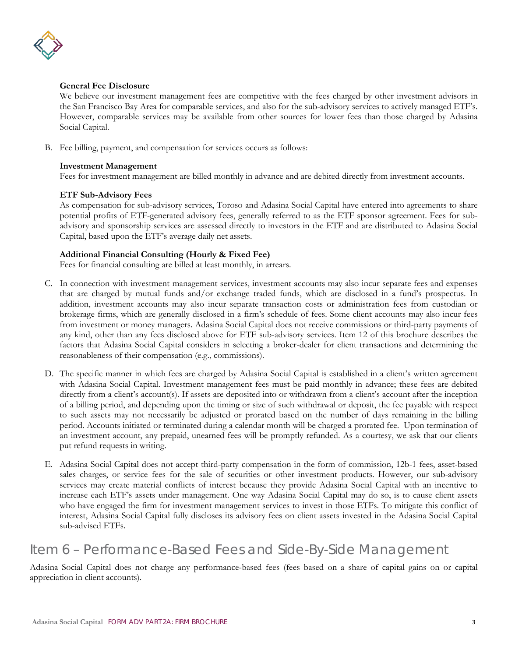

#### **General Fee Disclosure**

We believe our investment management fees are competitive with the fees charged by other investment advisors in the San Francisco Bay Area for comparable services, and also for the sub-advisory services to actively managed ETF's. However, comparable services may be available from other sources for lower fees than those charged by Adasina Social Capital.

B. Fee billing, payment, and compensation for services occurs as follows:

### **Investment Management**

Fees for investment management are billed monthly in advance and are debited directly from investment accounts.

### **ETF Sub-Advisory Fees**

As compensation for sub-advisory services, Toroso and Adasina Social Capital have entered into agreements to share potential profits of ETF-generated advisory fees, generally referred to as the ETF sponsor agreement. Fees for subadvisory and sponsorship services are assessed directly to investors in the ETF and are distributed to Adasina Social Capital, based upon the ETF's average daily net assets.

### **Additional Financial Consulting (Hourly & Fixed Fee)**

Fees for financial consulting are billed at least monthly, in arrears.

- C. In connection with investment management services, investment accounts may also incur separate fees and expenses that are charged by mutual funds and/or exchange traded funds, which are disclosed in a fund's prospectus. In addition, investment accounts may also incur separate transaction costs or administration fees from custodian or brokerage firms, which are generally disclosed in a firm's schedule of fees. Some client accounts may also incur fees from investment or money managers. Adasina Social Capital does not receive commissions or third-party payments of any kind, other than any fees disclosed above for ETF sub-advisory services. Item 12 of this brochure describes the factors that Adasina Social Capital considers in selecting a broker-dealer for client transactions and determining the reasonableness of their compensation (e.g., commissions).
- D. The specific manner in which fees are charged by Adasina Social Capital is established in a client's written agreement with Adasina Social Capital. Investment management fees must be paid monthly in advance; these fees are debited directly from a client's account(s). If assets are deposited into or withdrawn from a client's account after the inception of a billing period, and depending upon the timing or size of such withdrawal or deposit, the fee payable with respect to such assets may not necessarily be adjusted or prorated based on the number of days remaining in the billing period. Accounts initiated or terminated during a calendar month will be charged a prorated fee. Upon termination of an investment account, any prepaid, unearned fees will be promptly refunded. As a courtesy, we ask that our clients put refund requests in writing.
- E. Adasina Social Capital does not accept third-party compensation in the form of commission, 12b-1 fees, asset-based sales charges, or service fees for the sale of securities or other investment products. However, our sub-advisory services may create material conflicts of interest because they provide Adasina Social Capital with an incentive to increase each ETF's assets under management. One way Adasina Social Capital may do so, is to cause client assets who have engaged the firm for investment management services to invest in those ETFs. To mitigate this conflict of interest, Adasina Social Capital fully discloses its advisory fees on client assets invested in the Adasina Social Capital sub-advised ETFs.

# <span id="page-5-0"></span>Item 6 – Performance-Based Fees and Side-By-Side Management

Adasina Social Capital does not charge any performance-based fees (fees based on a share of capital gains on or capital appreciation in client accounts).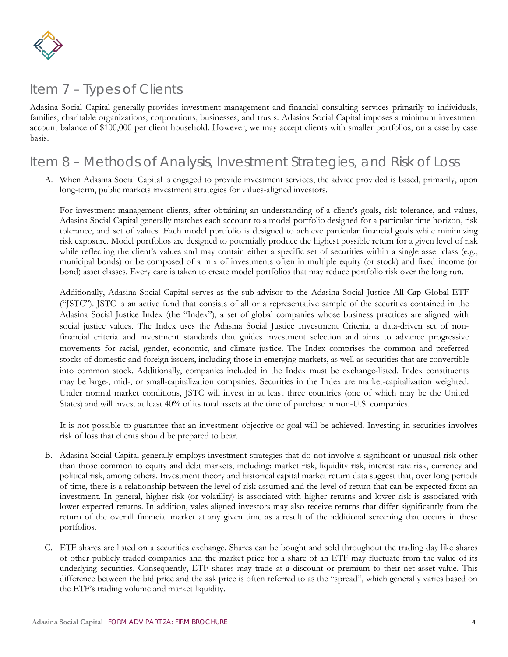

# <span id="page-6-0"></span>Item 7 – Types of Clients

Adasina Social Capital generally provides investment management and financial consulting services primarily to individuals, families, charitable organizations, corporations, businesses, and trusts. Adasina Social Capital imposes a minimum investment account balance of \$100,000 per client household. However, we may accept clients with smaller portfolios, on a case by case basis.

### <span id="page-6-1"></span>Item 8 – Methods of Analysis, Investment Strategies, and Risk of Loss

A. When Adasina Social Capital is engaged to provide investment services, the advice provided is based, primarily, upon long-term, public markets investment strategies for values-aligned investors.

For investment management clients, after obtaining an understanding of a client's goals, risk tolerance, and values, Adasina Social Capital generally matches each account to a model portfolio designed for a particular time horizon, risk tolerance, and set of values. Each model portfolio is designed to achieve particular financial goals while minimizing risk exposure. Model portfolios are designed to potentially produce the highest possible return for a given level of risk while reflecting the client's values and may contain either a specific set of securities within a single asset class (e.g., municipal bonds) or be composed of a mix of investments often in multiple equity (or stock) and fixed income (or bond) asset classes. Every care is taken to create model portfolios that may reduce portfolio risk over the long run.

Additionally, Adasina Social Capital serves as the sub-advisor to the Adasina Social Justice All Cap Global ETF ("JSTC"). JSTC is an active fund that consists of all or a representative sample of the securities contained in the Adasina Social Justice Index (the "Index"), a set of global companies whose business practices are aligned with social justice values. The Index uses the Adasina Social Justice Investment Criteria, a data-driven set of nonfinancial criteria and investment standards that guides investment selection and aims to advance progressive movements for racial, gender, economic, and climate justice. The Index comprises the common and preferred stocks of domestic and foreign issuers, including those in emerging markets, as well as securities that are convertible into common stock. Additionally, companies included in the Index must be exchange-listed. Index constituents may be large-, mid-, or small-capitalization companies. Securities in the Index are market-capitalization weighted. Under normal market conditions, JSTC will invest in at least three countries (one of which may be the United States) and will invest at least 40% of its total assets at the time of purchase in non-U.S. companies.

It is not possible to guarantee that an investment objective or goal will be achieved. Investing in securities involves risk of loss that clients should be prepared to bear.

- B. Adasina Social Capital generally employs investment strategies that do not involve a significant or unusual risk other than those common to equity and debt markets, including: market risk, liquidity risk, interest rate risk, currency and political risk, among others. Investment theory and historical capital market return data suggest that, over long periods of time, there is a relationship between the level of risk assumed and the level of return that can be expected from an investment. In general, higher risk (or volatility) is associated with higher returns and lower risk is associated with lower expected returns. In addition, vales aligned investors may also receive returns that differ significantly from the return of the overall financial market at any given time as a result of the additional screening that occurs in these portfolios.
- C. ETF shares are listed on a securities exchange. Shares can be bought and sold throughout the trading day like shares of other publicly traded companies and the market price for a share of an ETF may fluctuate from the value of its underlying securities. Consequently, ETF shares may trade at a discount or premium to their net asset value. This difference between the bid price and the ask price is often referred to as the "spread", which generally varies based on the ETF's trading volume and market liquidity.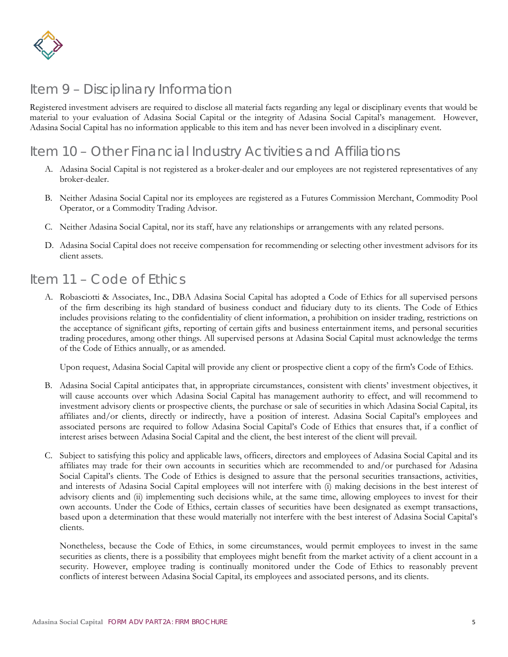

# <span id="page-7-0"></span>Item 9 – Disciplinary Information

Registered investment advisers are required to disclose all material facts regarding any legal or disciplinary events that would be material to your evaluation of Adasina Social Capital or the integrity of Adasina Social Capital's management. However, Adasina Social Capital has no information applicable to this item and has never been involved in a disciplinary event.

## <span id="page-7-1"></span>Item 10 – Other Financial Industry Activities and Affiliations

- A. Adasina Social Capital is not registered as a broker-dealer and our employees are not registered representatives of any broker-dealer.
- B. Neither Adasina Social Capital nor its employees are registered as a Futures Commission Merchant, Commodity Pool Operator, or a Commodity Trading Advisor.
- C. Neither Adasina Social Capital, nor its staff, have any relationships or arrangements with any related persons.
- D. Adasina Social Capital does not receive compensation for recommending or selecting other investment advisors for its client assets.

### <span id="page-7-2"></span>Item 11 – Code of Ethics

A. Robasciotti & Associates, Inc., DBA Adasina Social Capital has adopted a Code of Ethics for all supervised persons of the firm describing its high standard of business conduct and fiduciary duty to its clients. The Code of Ethics includes provisions relating to the confidentiality of client information, a prohibition on insider trading, restrictions on the acceptance of significant gifts, reporting of certain gifts and business entertainment items, and personal securities trading procedures, among other things. All supervised persons at Adasina Social Capital must acknowledge the terms of the Code of Ethics annually, or as amended.

Upon request, Adasina Social Capital will provide any client or prospective client a copy of the firm's Code of Ethics.

- B. Adasina Social Capital anticipates that, in appropriate circumstances, consistent with clients' investment objectives, it will cause accounts over which Adasina Social Capital has management authority to effect, and will recommend to investment advisory clients or prospective clients, the purchase or sale of securities in which Adasina Social Capital, its affiliates and/or clients, directly or indirectly, have a position of interest. Adasina Social Capital's employees and associated persons are required to follow Adasina Social Capital's Code of Ethics that ensures that, if a conflict of interest arises between Adasina Social Capital and the client, the best interest of the client will prevail.
- C. Subject to satisfying this policy and applicable laws, officers, directors and employees of Adasina Social Capital and its affiliates may trade for their own accounts in securities which are recommended to and/or purchased for Adasina Social Capital's clients. The Code of Ethics is designed to assure that the personal securities transactions, activities, and interests of Adasina Social Capital employees will not interfere with (i) making decisions in the best interest of advisory clients and (ii) implementing such decisions while, at the same time, allowing employees to invest for their own accounts. Under the Code of Ethics, certain classes of securities have been designated as exempt transactions, based upon a determination that these would materially not interfere with the best interest of Adasina Social Capital's clients.

Nonetheless, because the Code of Ethics, in some circumstances, would permit employees to invest in the same securities as clients, there is a possibility that employees might benefit from the market activity of a client account in a security. However, employee trading is continually monitored under the Code of Ethics to reasonably prevent conflicts of interest between Adasina Social Capital, its employees and associated persons, and its clients.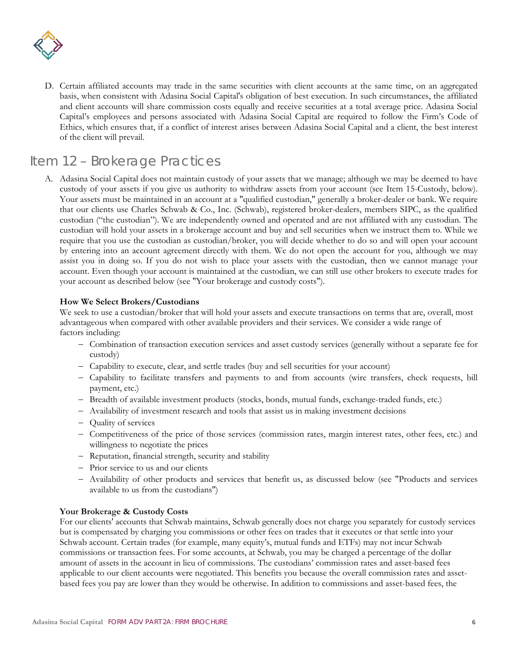

D. Certain affiliated accounts may trade in the same securities with client accounts at the same time, on an aggregated basis, when consistent with Adasina Social Capital's obligation of best execution. In such circumstances, the affiliated and client accounts will share commission costs equally and receive securities at a total average price. Adasina Social Capital's employees and persons associated with Adasina Social Capital are required to follow the Firm's Code of Ethics, which ensures that, if a conflict of interest arises between Adasina Social Capital and a client, the best interest of the client will prevail.

### <span id="page-8-0"></span>Item 12 – Brokerage Practices

A. Adasina Social Capital does not maintain custody of your assets that we manage; although we may be deemed to have custody of your assets if you give us authority to withdraw assets from your account (see Item 15-Custody, below). Your assets must be maintained in an account at a "qualified custodian," generally a broker-dealer or bank. We require that our clients use Charles Schwab & Co., Inc. (Schwab), registered broker-dealers, members SIPC, as the qualified custodian ("the custodian"). We are independently owned and operated and are not affiliated with any custodian. The custodian will hold your assets in a brokerage account and buy and sell securities when we instruct them to. While we require that you use the custodian as custodian/broker, you will decide whether to do so and will open your account by entering into an account agreement directly with them. We do not open the account for you, although we may assist you in doing so. If you do not wish to place your assets with the custodian, then we cannot manage your account. Even though your account is maintained at the custodian, we can still use other brokers to execute trades for your account as described below (see "Your brokerage and custody costs").

### **How We Select Brokers/Custodians**

We seek to use a custodian/broker that will hold your assets and execute transactions on terms that are, overall, most advantageous when compared with other available providers and their services. We consider a wide range of factors including:

- − Combination of transaction execution services and asset custody services (generally without a separate fee for custody)
- − Capability to execute, clear, and settle trades (buy and sell securities for your account)
- − Capability to facilitate transfers and payments to and from accounts (wire transfers, check requests, bill payment, etc.)
- − Breadth of available investment products (stocks, bonds, mutual funds, exchange-traded funds, etc.)
- − Availability of investment research and tools that assist us in making investment decisions
- − Quality of services
- − Competitiveness of the price of those services (commission rates, margin interest rates, other fees, etc.) and willingness to negotiate the prices
- − Reputation, financial strength, security and stability
- − Prior service to us and our clients
- − Availability of other products and services that benefit us, as discussed below (see "Products and services available to us from the custodians'')

### **Your Brokerage & Custody Costs**

For our clients' accounts that Schwab maintains, Schwab generally does not charge you separately for custody services but is compensated by charging you commissions or other fees on trades that it executes or that settle into your Schwab account. Certain trades (for example, many equity's, mutual funds and ETFs) may not incur Schwab commissions or transaction fees. For some accounts, at Schwab, you may be charged a percentage of the dollar amount of assets in the account in lieu of commissions. The custodians' commission rates and asset-based fees applicable to our client accounts were negotiated. This benefits you because the overall commission rates and assetbased fees you pay are lower than they would be otherwise. In addition to commissions and asset-based fees, the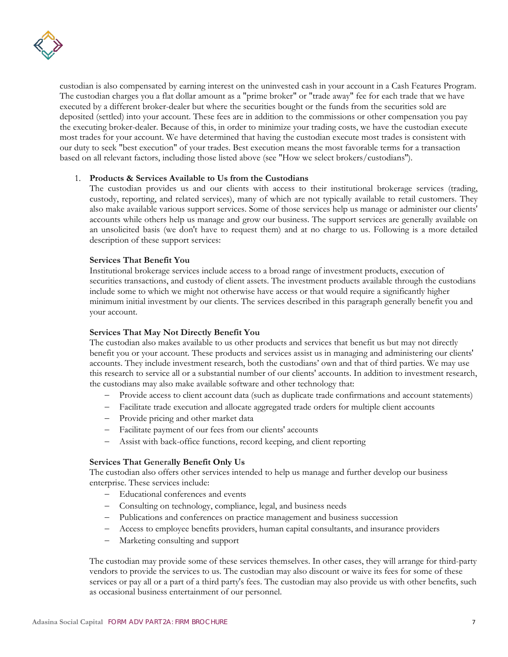

custodian is also compensated by earning interest on the uninvested cash in your account in a Cash Features Program. The custodian charges you a flat dollar amount as a "prime broker" or "trade away" fee for each trade that we have executed by a different broker-dealer but where the securities bought or the funds from the securities sold are deposited (settled) into your account. These fees are in addition to the commissions or other compensation you pay the executing broker-dealer. Because of this, in order to minimize your trading costs, we have the custodian execute most trades for your account. We have determined that having the custodian execute most trades is consistent with our duty to seek "best execution" of your trades. Best execution means the most favorable terms for a transaction based on all relevant factors, including those listed above (see "How we select brokers/custodians'').

#### 1. **Products & Services Available to Us from the Custodians**

The custodian provides us and our clients with access to their institutional brokerage services (trading, custody, reporting, and related services), many of which are not typically available to retail customers. They also make available various support services. Some of those services help us manage or administer our clients' accounts while others help us manage and grow our business. The support services are generally available on an unsolicited basis (we don't have to request them) and at no charge to us. Following is a more detailed description of these support services:

### **Services That Benefit You**

Institutional brokerage services include access to a broad range of investment products, execution of securities transactions, and custody of client assets. The investment products available through the custodians include some to which we might not otherwise have access or that would require a significantly higher minimum initial investment by our clients. The services described in this paragraph generally benefit you and your account.

#### **Services That May Not Directly Benefit You**

The custodian also makes available to us other products and services that benefit us but may not directly benefit you or your account. These products and services assist us in managing and administering our clients' accounts. They include investment research, both the custodians' own and that of third parties. We may use this research to service all or a substantial number of our clients' accounts. In addition to investment research, the custodians may also make available software and other technology that:

- − Provide access to client account data (such as duplicate trade confirmations and account statements)
- − Facilitate trade execution and allocate aggregated trade orders for multiple client accounts
- − Provide pricing and other market data
- − Facilitate payment of our fees from our clients' accounts
- − Assist with back-office functions, record keeping, and client reporting

#### **Services That Generally Benefit Only Us**

The custodian also offers other services intended to help us manage and further develop our business enterprise. These services include:

- − Educational conferences and events
- − Consulting on technology, compliance, legal, and business needs
- − Publications and conferences on practice management and business succession
- − Access to employee benefits providers, human capital consultants, and insurance providers
- − Marketing consulting and support

The custodian may provide some of these services themselves. In other cases, they will arrange for third-party vendors to provide the services to us. The custodian may also discount or waive its fees for some of these services or pay all or a part of a third party's fees. The custodian may also provide us with other benefits, such as occasional business entertainment of our personnel.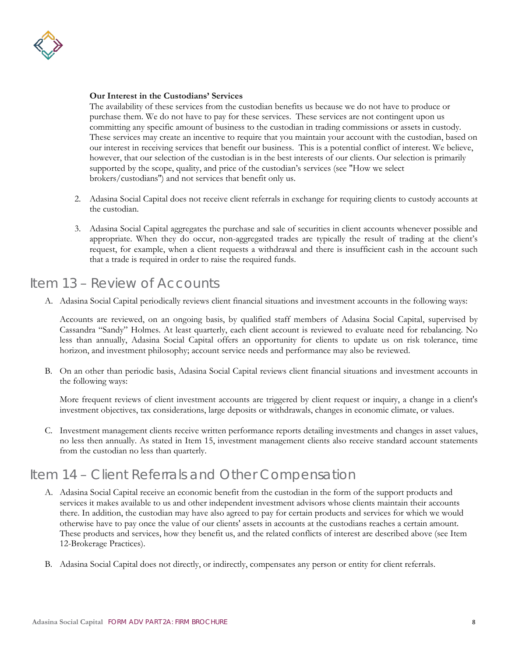

### **Our Interest in the Custodians' Services**

The availability of these services from the custodian benefits us because we do not have to produce or purchase them. We do not have to pay for these services. These services are not contingent upon us committing any specific amount of business to the custodian in trading commissions or assets in custody. These services may create an incentive to require that you maintain your account with the custodian, based on our interest in receiving services that benefit our business. This is a potential conflict of interest. We believe, however, that our selection of the custodian is in the best interests of our clients. Our selection is primarily supported by the scope, quality, and price of the custodian's services (see "How we select brokers/custodians'') and not services that benefit only us.

- 2. Adasina Social Capital does not receive client referrals in exchange for requiring clients to custody accounts at the custodian.
- 3. Adasina Social Capital aggregates the purchase and sale of securities in client accounts whenever possible and appropriate. When they do occur, non-aggregated trades are typically the result of trading at the client's request, for example, when a client requests a withdrawal and there is insufficient cash in the account such that a trade is required in order to raise the required funds.

### <span id="page-10-0"></span>Item 13 – Review of Accounts

A. Adasina Social Capital periodically reviews client financial situations and investment accounts in the following ways:

Accounts are reviewed, on an ongoing basis, by qualified staff members of Adasina Social Capital, supervised by Cassandra "Sandy" Holmes. At least quarterly, each client account is reviewed to evaluate need for rebalancing. No less than annually, Adasina Social Capital offers an opportunity for clients to update us on risk tolerance, time horizon, and investment philosophy; account service needs and performance may also be reviewed.

B. On an other than periodic basis, Adasina Social Capital reviews client financial situations and investment accounts in the following ways:

More frequent reviews of client investment accounts are triggered by client request or inquiry, a change in a client's investment objectives, tax considerations, large deposits or withdrawals, changes in economic climate, or values.

C. Investment management clients receive written performance reports detailing investments and changes in asset values, no less then annually. As stated in Item 15, investment management clients also receive standard account statements from the custodian no less than quarterly.

### <span id="page-10-1"></span>Item 14 – Client Referrals and Other Compensation

- A. Adasina Social Capital receive an economic benefit from the custodian in the form of the support products and services it makes available to us and other independent investment advisors whose clients maintain their accounts there. In addition, the custodian may have also agreed to pay for certain products and services for which we would otherwise have to pay once the value of our clients' assets in accounts at the custodians reaches a certain amount. These products and services, how they benefit us, and the related conflicts of interest are described above (see Item 12-Brokerage Practices).
- B. Adasina Social Capital does not directly, or indirectly, compensates any person or entity for client referrals.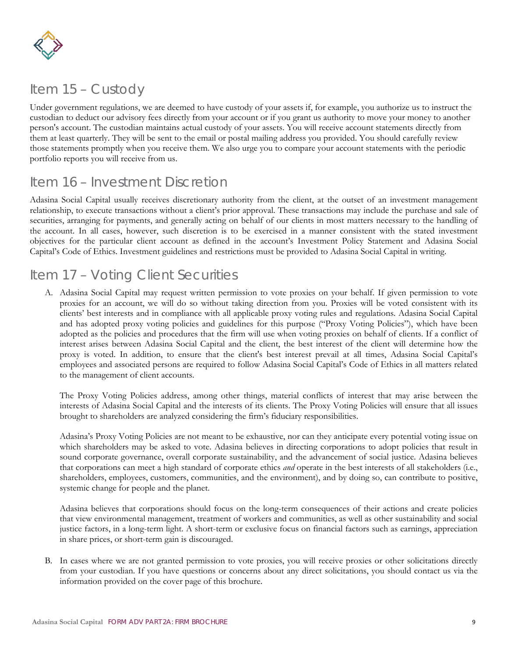

## <span id="page-11-0"></span>Item 15 – Custody

Under government regulations, we are deemed to have custody of your assets if, for example, you authorize us to instruct the custodian to deduct our advisory fees directly from your account or if you grant us authority to move your money to another person's account. The custodian maintains actual custody of your assets. You will receive account statements directly from them at least quarterly. They will be sent to the email or postal mailing address you provided. You should carefully review those statements promptly when you receive them. We also urge you to compare your account statements with the periodic portfolio reports you will receive from us.

### <span id="page-11-1"></span>Item 16 – Investment Discretion

Adasina Social Capital usually receives discretionary authority from the client, at the outset of an investment management relationship, to execute transactions without a client's prior approval. These transactions may include the purchase and sale of securities, arranging for payments, and generally acting on behalf of our clients in most matters necessary to the handling of the account. In all cases, however, such discretion is to be exercised in a manner consistent with the stated investment objectives for the particular client account as defined in the account's Investment Policy Statement and Adasina Social Capital's Code of Ethics. Investment guidelines and restrictions must be provided to Adasina Social Capital in writing.

### <span id="page-11-2"></span>Item 17 – Voting Client Securities

A. Adasina Social Capital may request written permission to vote proxies on your behalf. If given permission to vote proxies for an account, we will do so without taking direction from you. Proxies will be voted consistent with its clients' best interests and in compliance with all applicable proxy voting rules and regulations. Adasina Social Capital and has adopted proxy voting policies and guidelines for this purpose ("Proxy Voting Policies"), which have been adopted as the policies and procedures that the firm will use when voting proxies on behalf of clients. If a conflict of interest arises between Adasina Social Capital and the client, the best interest of the client will determine how the proxy is voted. In addition, to ensure that the client's best interest prevail at all times, Adasina Social Capital's employees and associated persons are required to follow Adasina Social Capital's Code of Ethics in all matters related to the management of client accounts.

The Proxy Voting Policies address, among other things, material conflicts of interest that may arise between the interests of Adasina Social Capital and the interests of its clients. The Proxy Voting Policies will ensure that all issues brought to shareholders are analyzed considering the firm's fiduciary responsibilities.

Adasina's Proxy Voting Policies are not meant to be exhaustive, nor can they anticipate every potential voting issue on which shareholders may be asked to vote. Adasina believes in directing corporations to adopt policies that result in sound corporate governance, overall corporate sustainability, and the advancement of social justice. Adasina believes that corporations can meet a high standard of corporate ethics *and* operate in the best interests of all stakeholders (i.e., shareholders, employees, customers, communities, and the environment), and by doing so, can contribute to positive, systemic change for people and the planet.

Adasina believes that corporations should focus on the long-term consequences of their actions and create policies that view environmental management, treatment of workers and communities, as well as other sustainability and social justice factors, in a long-term light. A short-term or exclusive focus on financial factors such as earnings, appreciation in share prices, or short-term gain is discouraged.

B. In cases where we are not granted permission to vote proxies, you will receive proxies or other solicitations directly from your custodian. If you have questions or concerns about any direct solicitations, you should contact us via the information provided on the cover page of this brochure.